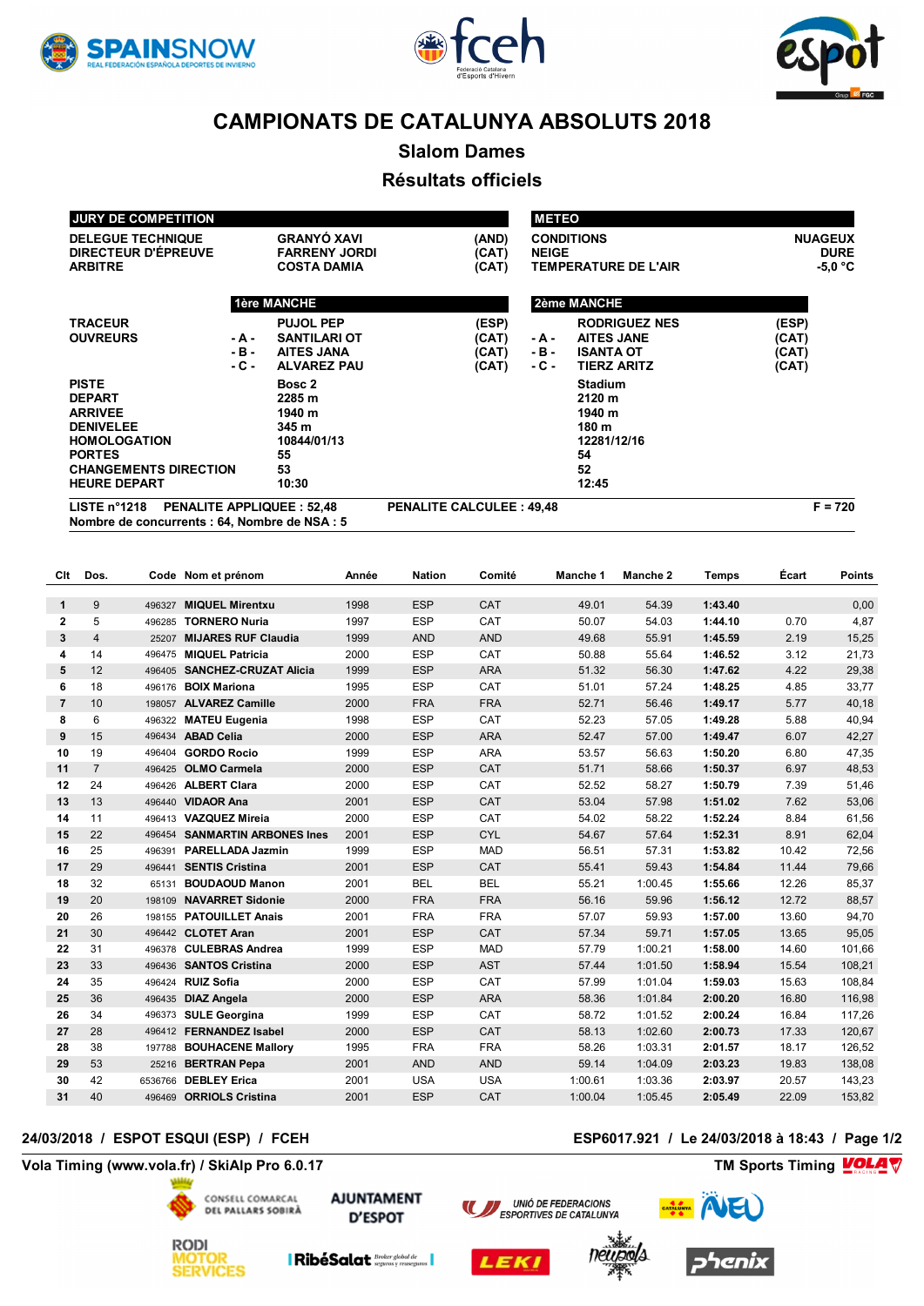





**Slalom Dames**

### **Résultats officiels**

| <b>JURY DE COMPETITION</b>                                 |        |                      |                                 |       | <b>METEO</b> |                             |                |
|------------------------------------------------------------|--------|----------------------|---------------------------------|-------|--------------|-----------------------------|----------------|
| <b>DELEGUE TECHNIQUE</b>                                   |        | <b>GRANYÓ XAVI</b>   |                                 | (AND) |              | <b>CONDITIONS</b>           | <b>NUAGEUX</b> |
| DIRECTEUR D'ÉPREUVE                                        |        | <b>FARRENY JORDI</b> |                                 | (CAT) | <b>NEIGE</b> |                             | <b>DURE</b>    |
| <b>ARBITRE</b>                                             |        | <b>COSTA DAMIA</b>   |                                 | (CAT) |              | <b>TEMPERATURE DE L'AIR</b> | $-5.0 °C$      |
|                                                            |        | <b>1ère MANCHE</b>   |                                 |       |              | 2ème MANCHE                 |                |
| <b>TRACEUR</b>                                             |        | <b>PUJOL PEP</b>     |                                 | (ESP) |              | <b>RODRIGUEZ NES</b>        | (ESP)          |
| <b>OUVREURS</b>                                            | - A -  | <b>SANTILARI OT</b>  |                                 | (CAT) | - A -        | <b>AITES JANE</b>           | (CAT)          |
|                                                            | $-B -$ | <b>AITES JANA</b>    |                                 | (CAT) | - B -        | <b>ISANTA OT</b>            | (CAT)          |
|                                                            | $-C -$ | <b>ALVAREZ PAU</b>   |                                 | (CAT) | - C -        | <b>TIERZ ARITZ</b>          | (CAT)          |
| <b>PISTE</b>                                               |        | Bosc 2               |                                 |       |              | <b>Stadium</b>              |                |
| <b>DEPART</b>                                              |        | 2285 m               |                                 |       |              | 2120 m                      |                |
| <b>ARRIVEE</b>                                             |        | 1940 m               |                                 |       |              | 1940 m                      |                |
| <b>DENIVELEE</b>                                           |        | 345 m                |                                 |       |              | 180 m                       |                |
| <b>HOMOLOGATION</b>                                        |        | 10844/01/13          |                                 |       |              | 12281/12/16                 |                |
| <b>PORTES</b>                                              |        | 55                   |                                 |       |              | 54                          |                |
| <b>CHANGEMENTS DIRECTION</b>                               |        | 53                   |                                 |       |              | 52                          |                |
| <b>HEURE DEPART</b>                                        |        | 10:30                |                                 |       |              | 12:45                       |                |
| <b>PENALITE APPLIQUEE: 52.48</b><br>LISTE $n^{\circ}$ 1218 |        |                      | <b>PENALITE CALCULEE: 49,48</b> |       |              |                             | $F = 720$      |

**Nombre de concurrents : 64, Nombre de NSA : 5**

| Clt            | Dos.           |         | Code Nom et prénom            | Année | <b>Nation</b> | Comité     | Manche 1 | Manche 2 | <b>Temps</b> | Écart | Points |
|----------------|----------------|---------|-------------------------------|-------|---------------|------------|----------|----------|--------------|-------|--------|
| $\mathbf{1}$   | 9              | 496327  | <b>MIQUEL Mirentxu</b>        | 1998  | <b>ESP</b>    | CAT        | 49.01    | 54.39    | 1:43.40      |       | 0,00   |
| $\mathbf{2}$   | 5              | 496285  | <b>TORNERO Nuria</b>          | 1997  | <b>ESP</b>    | CAT        | 50.07    | 54.03    | 1:44.10      | 0.70  | 4,87   |
| 3              | $\overline{4}$ | 25207   | <b>MIJARES RUF Claudia</b>    | 1999  | <b>AND</b>    | <b>AND</b> | 49.68    | 55.91    | 1:45.59      | 2.19  | 15,25  |
| 4              | 14             |         | 496475 MIQUEL Patricia        | 2000  | <b>ESP</b>    | CAT        | 50.88    | 55.64    | 1:46.52      | 3.12  | 21,73  |
| 5              | 12             |         | 496405 SANCHEZ-CRUZAT Alicia  | 1999  | <b>ESP</b>    | <b>ARA</b> | 51.32    | 56.30    | 1:47.62      | 4.22  | 29,38  |
| 6              | 18             | 496176  | <b>BOIX Mariona</b>           | 1995  | <b>ESP</b>    | CAT        | 51.01    | 57.24    | 1:48.25      | 4.85  | 33,77  |
| $\overline{7}$ | 10             |         | 198057 ALVAREZ Camille        | 2000  | <b>FRA</b>    | <b>FRA</b> | 52.71    | 56.46    | 1:49.17      | 5.77  | 40,18  |
| 8              | 6              | 496322  | <b>MATEU Eugenia</b>          | 1998  | <b>ESP</b>    | CAT        | 52.23    | 57.05    | 1:49.28      | 5.88  | 40,94  |
| 9              | 15             |         | 496434 ABAD Celia             | 2000  | <b>ESP</b>    | <b>ARA</b> | 52.47    | 57.00    | 1:49.47      | 6.07  | 42,27  |
| 10             | 19             | 496404  | <b>GORDO Rocio</b>            | 1999  | <b>ESP</b>    | <b>ARA</b> | 53.57    | 56.63    | 1:50.20      | 6.80  | 47,35  |
| 11             | $\overline{7}$ | 496425  | <b>OLMO Carmela</b>           | 2000  | <b>ESP</b>    | CAT        | 51.71    | 58.66    | 1:50.37      | 6.97  | 48,53  |
| 12             | 24             | 496426  | <b>ALBERT Clara</b>           | 2000  | <b>ESP</b>    | CAT        | 52.52    | 58.27    | 1:50.79      | 7.39  | 51,46  |
| 13             | 13             |         | 496440 VIDAOR Ana             | 2001  | <b>ESP</b>    | CAT        | 53.04    | 57.98    | 1:51.02      | 7.62  | 53,06  |
| 14             | 11             |         | 496413 VAZQUEZ Mireia         | 2000  | <b>ESP</b>    | CAT        | 54.02    | 58.22    | 1:52.24      | 8.84  | 61,56  |
| 15             | 22             |         | 496454 SANMARTIN ARBONES Ines | 2001  | <b>ESP</b>    | <b>CYL</b> | 54.67    | 57.64    | 1:52.31      | 8.91  | 62,04  |
| 16             | 25             | 496391  | <b>PARELLADA Jazmin</b>       | 1999  | <b>ESP</b>    | <b>MAD</b> | 56.51    | 57.31    | 1:53.82      | 10.42 | 72,56  |
| 17             | 29             |         | 496441 SENTIS Cristina        | 2001  | <b>ESP</b>    | CAT        | 55.41    | 59.43    | 1:54.84      | 11.44 | 79,66  |
| 18             | 32             | 65131   | <b>BOUDAOUD Manon</b>         | 2001  | <b>BEL</b>    | <b>BEL</b> | 55.21    | 1:00.45  | 1:55.66      | 12.26 | 85,37  |
| 19             | 20             | 198109  | <b>NAVARRET Sidonie</b>       | 2000  | <b>FRA</b>    | <b>FRA</b> | 56.16    | 59.96    | 1:56.12      | 12.72 | 88,57  |
| 20             | 26             | 198155  | <b>PATOUILLET Anais</b>       | 2001  | <b>FRA</b>    | <b>FRA</b> | 57.07    | 59.93    | 1:57.00      | 13.60 | 94,70  |
| 21             | 30             |         | 496442 CLOTET Aran            | 2001  | <b>ESP</b>    | CAT        | 57.34    | 59.71    | 1:57.05      | 13.65 | 95,05  |
| 22             | 31             |         | 496378 CULEBRAS Andrea        | 1999  | <b>ESP</b>    | <b>MAD</b> | 57.79    | 1:00.21  | 1:58.00      | 14.60 | 101,66 |
| 23             | 33             | 496436  | <b>SANTOS Cristina</b>        | 2000  | <b>ESP</b>    | <b>AST</b> | 57.44    | 1:01.50  | 1:58.94      | 15.54 | 108,21 |
| 24             | 35             |         | 496424 RUIZ Sofia             | 2000  | <b>ESP</b>    | CAT        | 57.99    | 1:01.04  | 1:59.03      | 15.63 | 108,84 |
| 25             | 36             |         | 496435 DIAZ Angela            | 2000  | <b>ESP</b>    | <b>ARA</b> | 58.36    | 1:01.84  | 2:00.20      | 16.80 | 116,98 |
| 26             | 34             |         | 496373 SULE Georgina          | 1999  | <b>ESP</b>    | CAT        | 58.72    | 1:01.52  | 2:00.24      | 16.84 | 117,26 |
| 27             | 28             |         | 496412 FERNANDEZ Isabel       | 2000  | <b>ESP</b>    | CAT        | 58.13    | 1:02.60  | 2:00.73      | 17.33 | 120,67 |
| 28             | 38             | 197788  | <b>BOUHACENE Mallory</b>      | 1995  | <b>FRA</b>    | <b>FRA</b> | 58.26    | 1:03.31  | 2:01.57      | 18.17 | 126,52 |
| 29             | 53             | 25216   | <b>BERTRAN Pepa</b>           | 2001  | <b>AND</b>    | <b>AND</b> | 59.14    | 1:04.09  | 2:03.23      | 19.83 | 138,08 |
| 30             | 42             | 6536766 | <b>DEBLEY Erica</b>           | 2001  | <b>USA</b>    | <b>USA</b> | 1:00.61  | 1:03.36  | 2:03.97      | 20.57 | 143,23 |
| 31             | 40             |         | 496469 ORRIOLS Cristina       | 2001  | <b>ESP</b>    | CAT        | 1:00.04  | 1:05.45  | 2:05.49      | 22.09 | 153,82 |

### **24/03/2018 / ESPOT ESQUI (ESP) / FCEH ESP6017.921 / Le 24/03/2018 à 18:43 / Page 1/2**

**Vola Timing (www.vola.fr) / SkiAlp Pro 6.0.17 TM Sports Timing**



**AJUNTAMENT D'ESPOT** 







enix

**VolaSoftControlPdf**

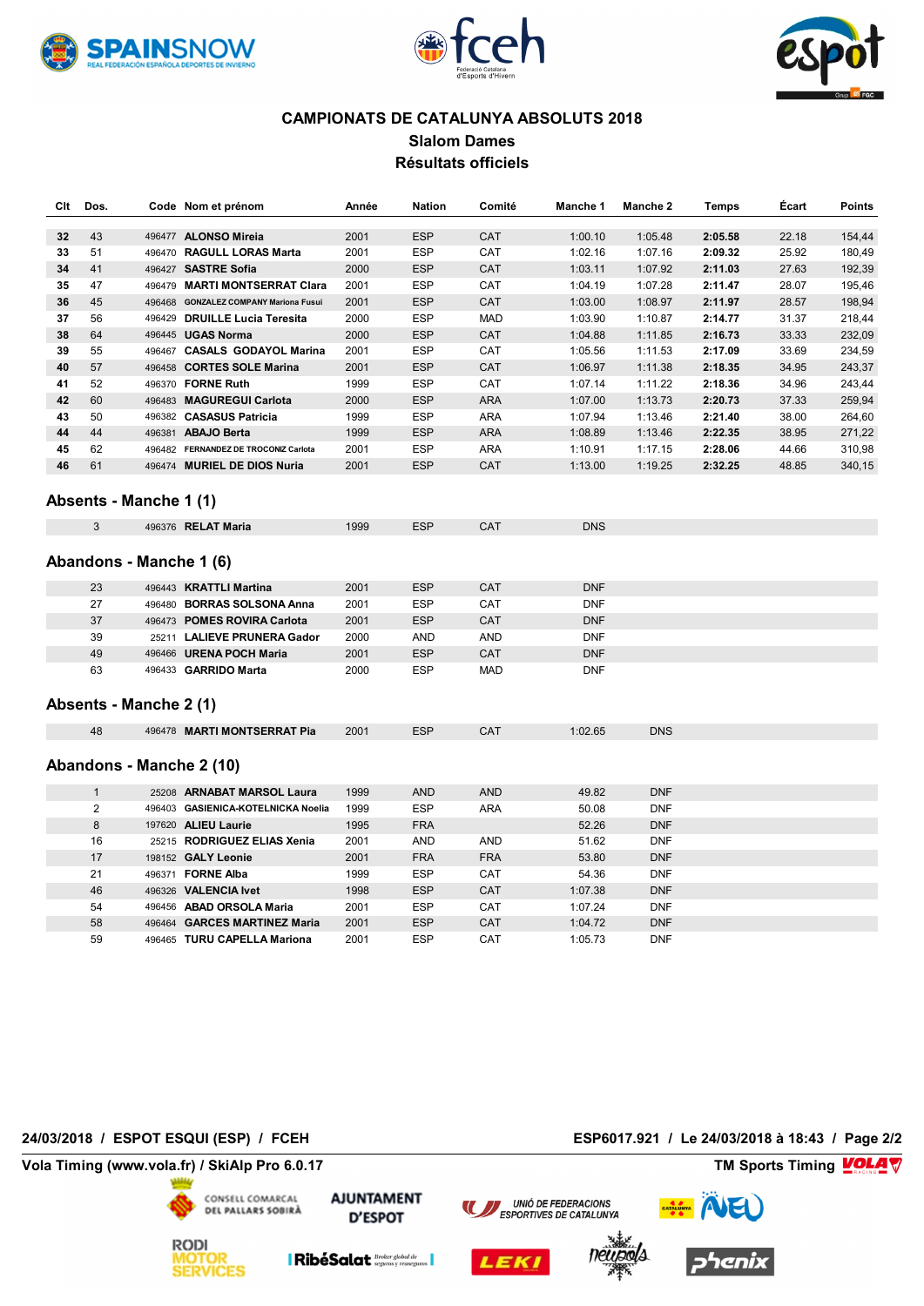





### **CAMPIONATS DE CATALUNYA ABSOLUTS 2018 Slalom Dames Résultats officiels**

| Clt | Dos.           |                         | Code Nom et prénom                    | Année | <b>Nation</b> | Comité     | Manche 1   | Manche 2   | <b>Temps</b> | Écart | <b>Points</b> |
|-----|----------------|-------------------------|---------------------------------------|-------|---------------|------------|------------|------------|--------------|-------|---------------|
| 32  | 43             |                         | 496477 ALONSO Mireia                  | 2001  | <b>ESP</b>    | CAT        | 1:00.10    | 1:05.48    | 2:05.58      | 22.18 | 154,44        |
| 33  | 51             |                         | 496470 RAGULL LORAS Marta             | 2001  | <b>ESP</b>    | CAT        | 1:02.16    | 1:07.16    | 2:09.32      | 25.92 | 180,49        |
| 34  | 41             |                         | 496427 SASTRE Sofia                   | 2000  | <b>ESP</b>    | CAT        | 1:03.11    | 1:07.92    | 2:11.03      | 27.63 | 192,39        |
| 35  | 47             |                         | 496479 MARTI MONTSERRAT Clara         | 2001  | <b>ESP</b>    | CAT        | 1:04.19    | 1:07.28    | 2:11.47      | 28.07 | 195,46        |
| 36  | 45             |                         | 496468 GONZALEZ COMPANY Mariona Fusui | 2001  | <b>ESP</b>    | CAT        | 1:03.00    | 1:08.97    | 2:11.97      | 28.57 | 198,94        |
| 37  | 56             |                         | 496429 DRUILLE Lucia Teresita         | 2000  | <b>ESP</b>    | <b>MAD</b> | 1:03.90    | 1:10.87    | 2:14.77      | 31.37 | 218,44        |
| 38  | 64             |                         | 496445 UGAS Norma                     | 2000  | <b>ESP</b>    | CAT        | 1:04.88    | 1:11.85    | 2:16.73      | 33.33 | 232,09        |
| 39  | 55             |                         | 496467 CASALS GODAYOL Marina          | 2001  | <b>ESP</b>    | CAT        | 1:05.56    | 1:11.53    | 2:17.09      | 33.69 | 234,59        |
| 40  | 57             |                         | 496458 CORTES SOLE Marina             | 2001  | <b>ESP</b>    | CAT        | 1:06.97    | 1:11.38    | 2:18.35      | 34.95 | 243,37        |
| 41  | 52             |                         | 496370 FORNE Ruth                     | 1999  | <b>ESP</b>    | CAT        | 1:07.14    | 1:11.22    | 2:18.36      | 34.96 | 243,44        |
| 42  | 60             |                         | 496483 MAGUREGUI Carlota              | 2000  | <b>ESP</b>    | <b>ARA</b> | 1:07.00    | 1:13.73    | 2:20.73      | 37.33 | 259,94        |
| 43  | 50             |                         | 496382 CASASUS Patricia               | 1999  | <b>ESP</b>    | <b>ARA</b> | 1:07.94    | 1:13.46    | 2:21.40      | 38.00 | 264,60        |
| 44  | 44             |                         | 496381 ABAJO Berta                    | 1999  | <b>ESP</b>    | <b>ARA</b> | 1:08.89    | 1:13.46    | 2:22.35      | 38.95 | 271,22        |
| 45  | 62             |                         | 496482 FERNANDEZ DE TROCONIZ Carlota  | 2001  | <b>ESP</b>    | <b>ARA</b> | 1:10.91    | 1:17.15    | 2:28.06      | 44.66 | 310,98        |
| 46  | 61             |                         | 496474 MURIEL DE DIOS Nuria           | 2001  | <b>ESP</b>    | CAT        | 1:13.00    | 1:19.25    | 2:32.25      | 48.85 | 340,15        |
|     |                | Absents - Manche 1 (1)  |                                       |       |               |            |            |            |              |       |               |
|     | 3              |                         | 496376 RELAT Maria                    | 1999  | <b>ESP</b>    | <b>CAT</b> | <b>DNS</b> |            |              |       |               |
|     |                | Abandons - Manche 1 (6) |                                       |       |               |            |            |            |              |       |               |
|     | 23             |                         | 496443 KRATTLI Martina                | 2001  | <b>ESP</b>    | CAT        | <b>DNF</b> |            |              |       |               |
|     | 27             |                         | 496480 BORRAS SOLSONA Anna            | 2001  | <b>ESP</b>    | CAT        | <b>DNF</b> |            |              |       |               |
|     | 37             |                         | 496473 POMES ROVIRA Carlota           | 2001  | <b>ESP</b>    | CAT        | <b>DNF</b> |            |              |       |               |
|     | 39             |                         | 25211 LALIEVE PRUNERA Gador           | 2000  | AND           | <b>AND</b> | <b>DNF</b> |            |              |       |               |
|     | 49             |                         | 496466 URENA POCH Maria               | 2001  | <b>ESP</b>    | CAT        | <b>DNF</b> |            |              |       |               |
|     | 63             | Absents - Manche 2 (1)  | 496433 GARRIDO Marta                  | 2000  | <b>ESP</b>    | <b>MAD</b> | <b>DNF</b> |            |              |       |               |
|     | 48             |                         | 496478 MARTI MONTSERRAT Pia           | 2001  | <b>ESP</b>    | CAT        | 1:02.65    | <b>DNS</b> |              |       |               |
|     |                |                         | Abandons - Manche 2 (10)              |       |               |            |            |            |              |       |               |
|     | $\mathbf{1}$   |                         | 25208 ARNABAT MARSOL Laura            | 1999  | <b>AND</b>    | <b>AND</b> | 49.82      | <b>DNF</b> |              |       |               |
|     | $\overline{2}$ |                         | 496403 GASIENICA-KOTELNICKA Noelia    | 1999  | <b>ESP</b>    | <b>ARA</b> | 50.08      | <b>DNF</b> |              |       |               |
|     | 8              |                         | 197620 ALIEU Laurie                   | 1995  | <b>FRA</b>    |            | 52.26      | <b>DNF</b> |              |       |               |
|     | 16             |                         | 25215 RODRIGUEZ ELIAS Xenia           | 2001  | <b>AND</b>    | <b>AND</b> | 51.62      | <b>DNF</b> |              |       |               |
|     | 17             |                         | 198152 GALY Leonie                    | 2001  | <b>FRA</b>    | <b>FRA</b> | 53.80      | <b>DNF</b> |              |       |               |
|     | 21             |                         | 496371 FORNE Alba                     | 1999  | <b>ESP</b>    | CAT        | 54.36      | <b>DNF</b> |              |       |               |
|     | 46             |                         | 496326 VALENCIA lvet                  | 1998  | <b>ESP</b>    | CAT        | 1:07.38    | <b>DNF</b> |              |       |               |
|     | 54             |                         | 496456 ABAD ORSOLA Maria              | 2001  | <b>ESP</b>    | CAT        | 1:07.24    | <b>DNF</b> |              |       |               |
|     | 58             |                         | 496464 GARCES MARTINEZ Maria          | 2001  | <b>ESP</b>    | CAT        | 1:04.72    | <b>DNF</b> |              |       |               |
|     | 59             |                         | 496465 TURU CAPELLA Mariona           | 2001  | <b>ESP</b>    | CAT        | 1:05.73    | <b>DNF</b> |              |       |               |

### **24/03/2018 / ESPOT ESQUI (ESP) / FCEH ESP6017.921 / Le 24/03/2018 à 18:43 / Page 2/2**

**Vola Timing (www.vola.fr) / SkiAlp Pro 6.0.17 TM Sports Timing**



**AJUNTAMENT D'ESPOT** 







 $\blacksquare$ RibéSalat  $\frac{\textit{Broke global de}}{\textit{seguros } v \textit{ reaseguros}}$ 



**VolaSoftControlPdf**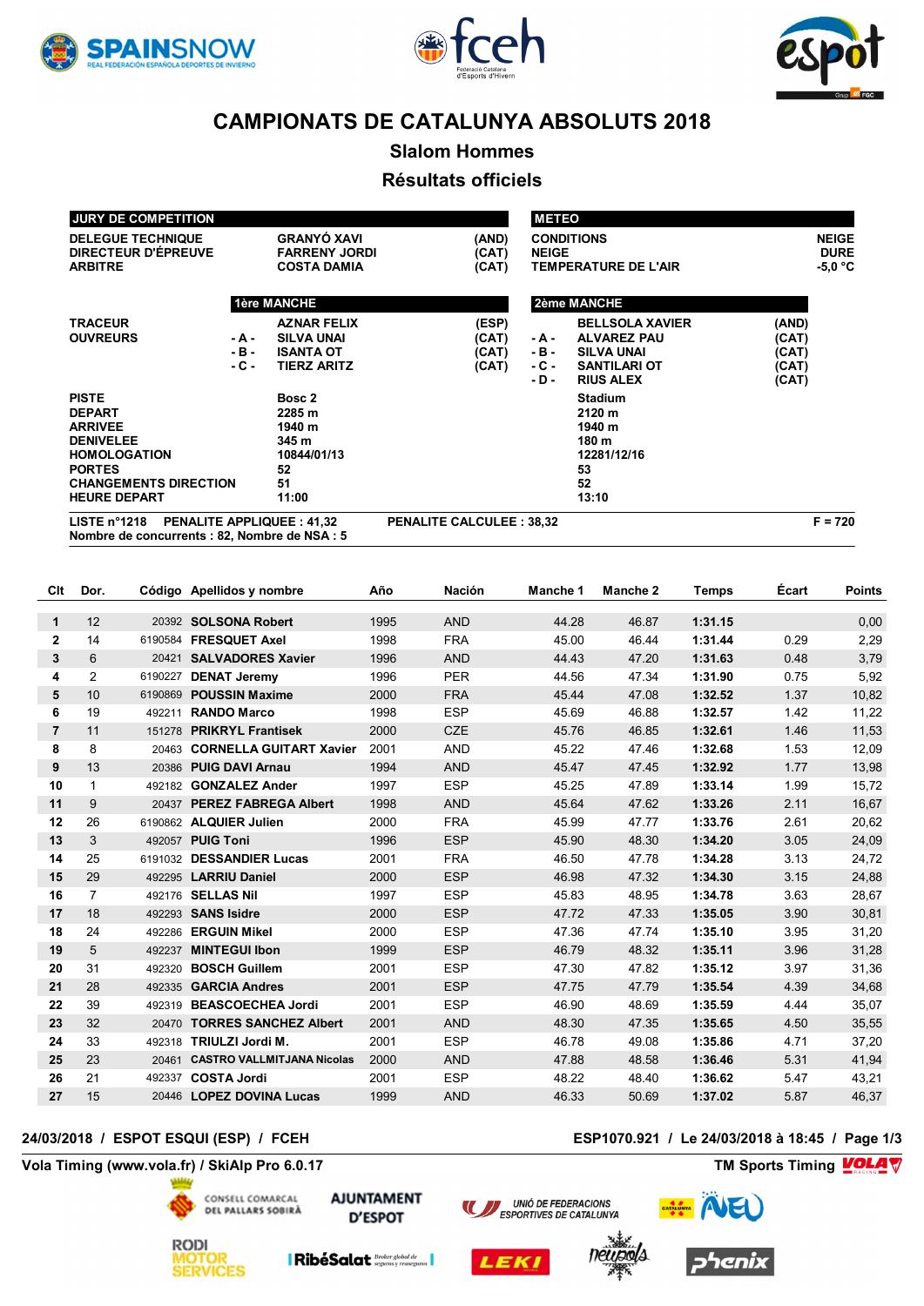





**Slalom Hommes**

## **Résultats officiels**

| LISTE $n^{\circ}1218$        | <b>PENALITE APPLIQUEE: 41,32</b> | <b>PENALITE CALCULEE: 38,32</b> |                              | $F = 720$    |
|------------------------------|----------------------------------|---------------------------------|------------------------------|--------------|
| <b>HEURE DEPART</b>          | 11:00                            |                                 | 13:10                        |              |
| <b>CHANGEMENTS DIRECTION</b> | 51                               |                                 | 52                           |              |
| <b>PORTES</b>                | 52                               |                                 | 53                           |              |
| <b>HOMOLOGATION</b>          | 10844/01/13                      |                                 | 12281/12/16                  |              |
| <b>DENIVELEE</b>             | 345 m                            |                                 | 180 m                        |              |
| <b>ARRIVEE</b>               | 1940 m                           |                                 | 1940 m                       |              |
| <b>DEPART</b>                | 2285 m                           |                                 | 2120 m                       |              |
| <b>PISTE</b>                 | Bosc 2                           |                                 | <b>Stadium</b>               |              |
|                              |                                  |                                 | - D -<br><b>RIUS ALEX</b>    | (CAT)        |
|                              | - C -<br>TIERZ ARITZ             | (CAT)                           | <b>SANTILARI OT</b><br>- C - | (CAT)        |
|                              | $-B -$<br><b>ISANTA OT</b>       | (CAT)                           | - B -<br><b>SILVA UNAI</b>   | (CAT)        |
| <b>OUVREURS</b>              | <b>SILVA UNAI</b><br>- A -       | (CAT)                           | <b>ALVAREZ PAU</b><br>- A -  | (CAT)        |
| <b>TRACEUR</b>               | <b>AZNAR FELIX</b>               | (ESP)                           | <b>BELLSOLA XAVIER</b>       | (AND)        |
|                              | <b>1ère MANCHE</b>               |                                 | 2ème MANCHE                  |              |
|                              |                                  |                                 |                              |              |
| <b>ARBITRE</b>               | <b>COSTA DAMIA</b>               | (CAT)                           | <b>TEMPERATURE DE L'AIR</b>  | -5,0 °C      |
| DIRECTEUR D'ÉPREUVE          | <b>FARRENY JORDI</b>             | (AND)<br>(CAT)                  | <b>NEIGE</b>                 | <b>DURE</b>  |
| <b>DELEGUE TECHNIQUE</b>     | <b>GRANYÓ XAVI</b>               |                                 | <b>CONDITIONS</b>            | <b>NEIGE</b> |
| <b>JURY DE COMPETITION</b>   |                                  |                                 | <b>METEO</b>                 |              |

**Nombre de concurrents : 82, Nombre de NSA : 5**

| Clt            | Dor.           |         | Código Apellidos y nombre         | Año  | <b>Nación</b> | Manche 1 | Manche 2 | <b>Temps</b> | Écart | <b>Points</b> |
|----------------|----------------|---------|-----------------------------------|------|---------------|----------|----------|--------------|-------|---------------|
|                |                |         |                                   |      |               |          |          |              |       |               |
| 1              | 12             |         | 20392 SOLSONA Robert              | 1995 | <b>AND</b>    | 44.28    | 46.87    | 1:31.15      |       | 0.00          |
| $\overline{2}$ | 14             | 6190584 | <b>FRESQUET Axel</b>              | 1998 | <b>FRA</b>    | 45.00    | 46.44    | 1:31.44      | 0.29  | 2,29          |
| 3              | 6              | 20421   | <b>SALVADORES Xavier</b>          | 1996 | <b>AND</b>    | 44.43    | 47.20    | 1:31.63      | 0.48  | 3,79          |
| 4              | 2              | 6190227 | <b>DENAT Jeremy</b>               | 1996 | <b>PER</b>    | 44.56    | 47.34    | 1:31.90      | 0.75  | 5,92          |
| 5              | 10             | 6190869 | <b>POUSSIN Maxime</b>             | 2000 | <b>FRA</b>    | 45.44    | 47.08    | 1:32.52      | 1.37  | 10,82         |
| 6              | 19             | 492211  | <b>RANDO Marco</b>                | 1998 | <b>ESP</b>    | 45.69    | 46.88    | 1:32.57      | 1.42  | 11,22         |
| $\overline{7}$ | 11             | 151278  | <b>PRIKRYL Frantisek</b>          | 2000 | <b>CZE</b>    | 45.76    | 46.85    | 1:32.61      | 1.46  | 11,53         |
| 8              | 8              | 20463   | <b>CORNELLA GUITART Xavier</b>    | 2001 | <b>AND</b>    | 45.22    | 47.46    | 1:32.68      | 1.53  | 12,09         |
| 9              | 13             | 20386   | <b>PUIG DAVI Arnau</b>            | 1994 | <b>AND</b>    | 45.47    | 47.45    | 1:32.92      | 1.77  | 13,98         |
| 10             | 1              | 492182  | <b>GONZALEZ Ander</b>             | 1997 | <b>ESP</b>    | 45.25    | 47.89    | 1:33.14      | 1.99  | 15,72         |
| 11             | 9              | 20437   | <b>PEREZ FABREGA Albert</b>       | 1998 | <b>AND</b>    | 45.64    | 47.62    | 1:33.26      | 2.11  | 16,67         |
| 12             | 26             |         | 6190862 ALQUIER Julien            | 2000 | <b>FRA</b>    | 45.99    | 47.77    | 1:33.76      | 2.61  | 20,62         |
| 13             | 3              | 492057  | <b>PUIG Toni</b>                  | 1996 | <b>ESP</b>    | 45.90    | 48.30    | 1:34.20      | 3.05  | 24,09         |
| 14             | 25             | 6191032 | <b>DESSANDIER Lucas</b>           | 2001 | <b>FRA</b>    | 46.50    | 47.78    | 1:34.28      | 3.13  | 24,72         |
| 15             | 29             |         | 492295 LARRIU Daniel              | 2000 | <b>ESP</b>    | 46.98    | 47.32    | 1:34.30      | 3.15  | 24,88         |
| 16             | $\overline{7}$ |         | 492176 SELLAS Nil                 | 1997 | <b>ESP</b>    | 45.83    | 48.95    | 1:34.78      | 3.63  | 28,67         |
| 17             | 18             | 492293  | <b>SANS Isidre</b>                | 2000 | <b>ESP</b>    | 47.72    | 47.33    | 1:35.05      | 3.90  | 30,81         |
| 18             | 24             | 492286  | <b>ERGUIN Mikel</b>               | 2000 | <b>ESP</b>    | 47.36    | 47.74    | 1:35.10      | 3.95  | 31,20         |
| 19             | 5              | 492237  | <b>MINTEGUI Ibon</b>              | 1999 | <b>ESP</b>    | 46.79    | 48.32    | 1:35.11      | 3.96  | 31,28         |
| 20             | 31             | 492320  | <b>BOSCH Guillem</b>              | 2001 | <b>ESP</b>    | 47.30    | 47.82    | 1:35.12      | 3.97  | 31,36         |
| 21             | 28             | 492335  | <b>GARCIA Andres</b>              | 2001 | <b>ESP</b>    | 47.75    | 47.79    | 1:35.54      | 4.39  | 34,68         |
| 22             | 39             | 492319  | <b>BEASCOECHEA Jordi</b>          | 2001 | <b>ESP</b>    | 46.90    | 48.69    | 1:35.59      | 4.44  | 35,07         |
| 23             | 32             | 20470   | <b>TORRES SANCHEZ Albert</b>      | 2001 | <b>AND</b>    | 48.30    | 47.35    | 1:35.65      | 4.50  | 35,55         |
| 24             | 33             | 492318  | TRIULZI Jordi M.                  | 2001 | <b>ESP</b>    | 46.78    | 49.08    | 1:35.86      | 4.71  | 37,20         |
| 25             | 23             | 20461   | <b>CASTRO VALLMITJANA Nicolas</b> | 2000 | <b>AND</b>    | 47.88    | 48.58    | 1:36.46      | 5.31  | 41,94         |
| 26             | 21             | 492337  | <b>COSTA Jordi</b>                | 2001 | <b>ESP</b>    | 48.22    | 48.40    | 1:36.62      | 5.47  | 43,21         |
| 27             | 15             |         | 20446 LOPEZ DOVINA Lucas          | 1999 | <b>AND</b>    | 46.33    | 50.69    | 1:37.02      | 5.87  | 46,37         |
|                |                |         |                                   |      |               |          |          |              |       |               |

### **24/03/2018 / ESPOT ESQUI (ESP) / FCEH ESP1070.921 / Le 24/03/2018 à 18:45 / Page 1/3**

**Vola Timing (www.vola.fr) / SkiAlp Pro 6.0.17 TM Sports Timing**



**AJUNTAMENT D'ESPOT** 





**VolaSoftControlPdf**



enix

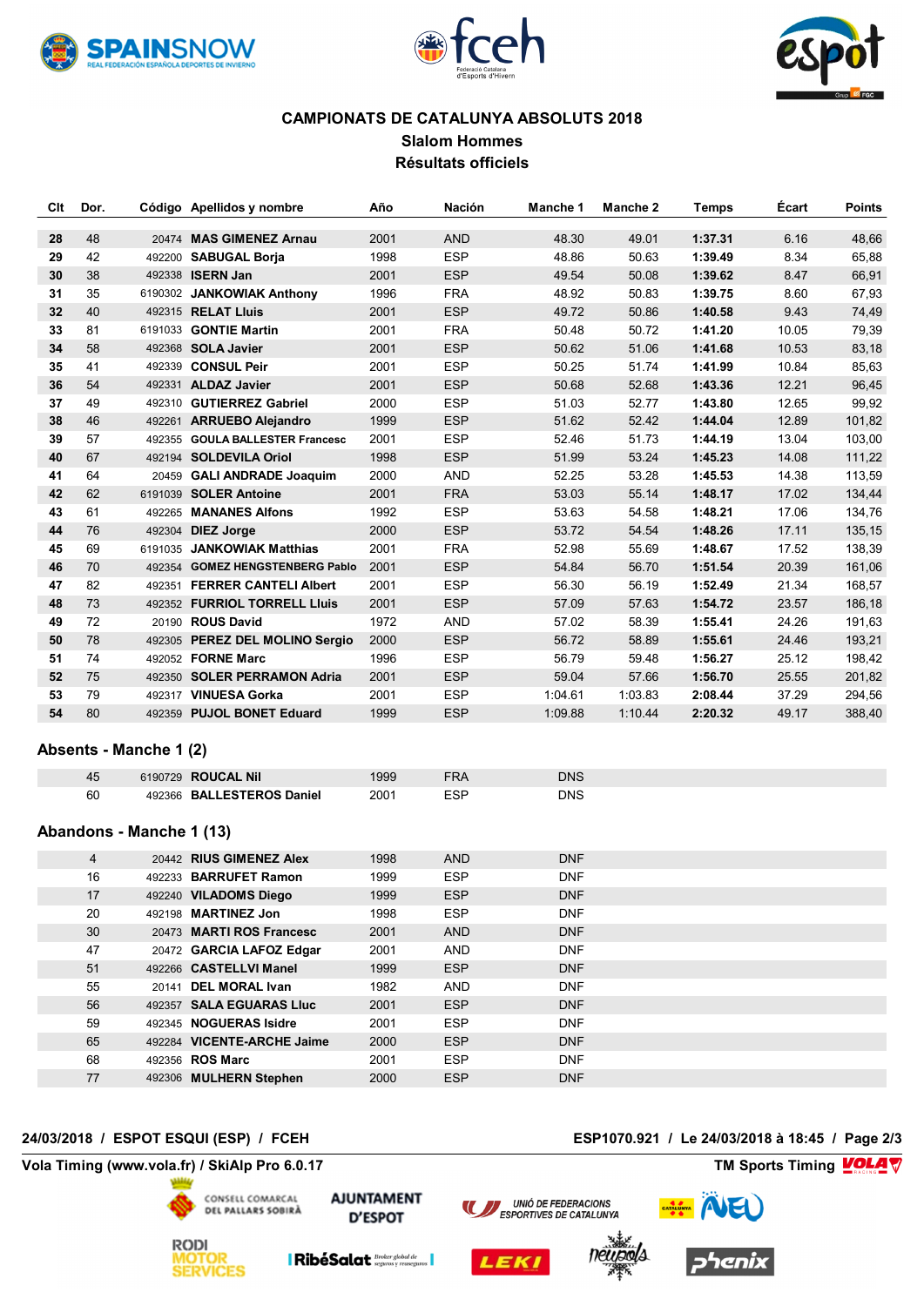





**Slalom Hommes Résultats officiels**

| Clt | Dor. |         | Código Apellidos y nombre       | Año  | <b>Nación</b> | Manche 1 | Manche 2 | <b>Temps</b> | <b>Ecart</b> | <b>Points</b> |
|-----|------|---------|---------------------------------|------|---------------|----------|----------|--------------|--------------|---------------|
| 28  | 48   |         | 20474 MAS GIMENEZ Arnau         | 2001 | <b>AND</b>    | 48.30    | 49.01    | 1:37.31      | 6.16         | 48,66         |
| 29  | 42   |         | 492200 SABUGAL Borja            | 1998 | <b>ESP</b>    | 48.86    | 50.63    | 1:39.49      | 8.34         | 65,88         |
| 30  | 38   |         | 492338 ISERN Jan                | 2001 | <b>ESP</b>    | 49.54    | 50.08    | 1:39.62      | 8.47         | 66,91         |
| 31  | 35   |         | 6190302 JANKOWIAK Anthony       | 1996 | <b>FRA</b>    | 48.92    | 50.83    | 1:39.75      | 8.60         | 67,93         |
| 32  | 40   |         | 492315 RELAT Lluis              | 2001 | <b>ESP</b>    | 49.72    | 50.86    | 1:40.58      | 9.43         | 74,49         |
| 33  | 81   |         | 6191033 <b>GONTIE Martin</b>    | 2001 | <b>FRA</b>    | 50.48    | 50.72    | 1:41.20      | 10.05        | 79,39         |
| 34  | 58   |         | 492368 SOLA Javier              | 2001 | <b>ESP</b>    | 50.62    | 51.06    | 1:41.68      | 10.53        | 83,18         |
| 35  | 41   |         | 492339 CONSUL Peir              | 2001 | <b>ESP</b>    | 50.25    | 51.74    | 1:41.99      | 10.84        | 85,63         |
| 36  | 54   |         | 492331 ALDAZ Javier             | 2001 | <b>ESP</b>    | 50.68    | 52.68    | 1:43.36      | 12.21        | 96,45         |
| 37  | 49   |         | 492310 GUTIERREZ Gabriel        | 2000 | <b>ESP</b>    | 51.03    | 52.77    | 1:43.80      | 12.65        | 99,92         |
| 38  | 46   |         | 492261 ARRUEBO Alejandro        | 1999 | <b>ESP</b>    | 51.62    | 52.42    | 1:44.04      | 12.89        | 101,82        |
| 39  | 57   |         | 492355 GOULA BALLESTER Francesc | 2001 | <b>ESP</b>    | 52.46    | 51.73    | 1:44.19      | 13.04        | 103,00        |
| 40  | 67   | 492194  | <b>SOLDEVILA Oriol</b>          | 1998 | <b>ESP</b>    | 51.99    | 53.24    | 1:45.23      | 14.08        | 111,22        |
| 41  | 64   |         | 20459 GALI ANDRADE Joaquim      | 2000 | <b>AND</b>    | 52.25    | 53.28    | 1:45.53      | 14.38        | 113,59        |
| 42  | 62   |         | 6191039 SOLER Antoine           | 2001 | <b>FRA</b>    | 53.03    | 55.14    | 1:48.17      | 17.02        | 134,44        |
| 43  | 61   |         | 492265 MANANES Alfons           | 1992 | <b>ESP</b>    | 53.63    | 54.58    | 1:48.21      | 17.06        | 134,76        |
| 44  | 76   |         | 492304 DIEZ Jorge               | 2000 | <b>ESP</b>    | 53.72    | 54.54    | 1:48.26      | 17.11        | 135,15        |
| 45  | 69   | 6191035 | <b>JANKOWIAK Matthias</b>       | 2001 | <b>FRA</b>    | 52.98    | 55.69    | 1:48.67      | 17.52        | 138,39        |
| 46  | 70   |         | 492354 GOMEZ HENGSTENBERG Pablo | 2001 | <b>ESP</b>    | 54.84    | 56.70    | 1:51.54      | 20.39        | 161,06        |
| 47  | 82   | 492351  | <b>FERRER CANTELI Albert</b>    | 2001 | <b>ESP</b>    | 56.30    | 56.19    | 1:52.49      | 21.34        | 168,57        |
| 48  | 73   |         | 492352 FURRIOL TORRELL Lluis    | 2001 | <b>ESP</b>    | 57.09    | 57.63    | 1:54.72      | 23.57        | 186,18        |
| 49  | 72   |         | 20190 <b>ROUS David</b>         | 1972 | <b>AND</b>    | 57.02    | 58.39    | 1:55.41      | 24.26        | 191,63        |
| 50  | 78   |         | 492305 PEREZ DEL MOLINO Sergio  | 2000 | <b>ESP</b>    | 56.72    | 58.89    | 1:55.61      | 24.46        | 193,21        |
| 51  | 74   |         | 492052 FORNE Marc               | 1996 | <b>ESP</b>    | 56.79    | 59.48    | 1:56.27      | 25.12        | 198,42        |
| 52  | 75   |         | 492350 SOLER PERRAMON Adria     | 2001 | <b>ESP</b>    | 59.04    | 57.66    | 1:56.70      | 25.55        | 201,82        |
| 53  | 79   | 492317  | <b>VINUESA Gorka</b>            | 2001 | <b>ESP</b>    | 1:04.61  | 1:03.83  | 2:08.44      | 37.29        | 294,56        |
| 54  | 80   |         | 492359 PUJOL BONET Eduard       | 1999 | <b>ESP</b>    | 1:09.88  | 1:10.44  | 2:20.32      | 49.17        | 388,40        |

### **Absents - Manche 1 (2)**

|    | 6190729 ROUCAL Nil        |      | DNS |
|----|---------------------------|------|-----|
| 60 | 492366 BALLESTEROS Daniel | 2001 | DNS |

### **Abandons - Manche 1 (13)**

| 4  |       | 20442 RIUS GIMENEZ Alex    | 1998 | <b>AND</b> | <b>DNF</b> |  |
|----|-------|----------------------------|------|------------|------------|--|
| 16 |       | 492233 BARRUFET Ramon      | 1999 | <b>ESP</b> | <b>DNF</b> |  |
| 17 |       | 492240 VILADOMS Diego      | 1999 | <b>ESP</b> | <b>DNF</b> |  |
| 20 |       | 492198 MARTINEZ Jon        | 1998 | <b>ESP</b> | <b>DNF</b> |  |
| 30 |       | 20473 MARTI ROS Francesc   | 2001 | <b>AND</b> | <b>DNF</b> |  |
| 47 |       | 20472 GARCIA LAFOZ Edgar   | 2001 | <b>AND</b> | <b>DNF</b> |  |
| 51 |       | 492266 CASTELLVI Manel     | 1999 | <b>ESP</b> | <b>DNF</b> |  |
| 55 | 20141 | <b>DEL MORAL Ivan</b>      | 1982 | <b>AND</b> | <b>DNF</b> |  |
| 56 |       | 492357 SALA EGUARAS Lluc   | 2001 | <b>ESP</b> | <b>DNF</b> |  |
| 59 |       | 492345 NOGUERAS Isidre     | 2001 | <b>ESP</b> | <b>DNF</b> |  |
| 65 |       | 492284 VICENTE-ARCHE Jaime | 2000 | <b>ESP</b> | <b>DNF</b> |  |
| 68 |       | 492356 ROS Marc            | 2001 | <b>ESP</b> | <b>DNF</b> |  |
| 77 |       | 492306 MULHERN Stephen     | 2000 | <b>ESP</b> | <b>DNF</b> |  |

### **24/03/2018 / ESPOT ESQUI (ESP) / FCEH ESP1070.921 / Le 24/03/2018 à 18:45 / Page 2/3**

**Vola Timing (www.vola.fr) / SkiAlp Pro 6.0.17 TM Sports Timing**



**AJUNTAMENT D'ESPOT** 











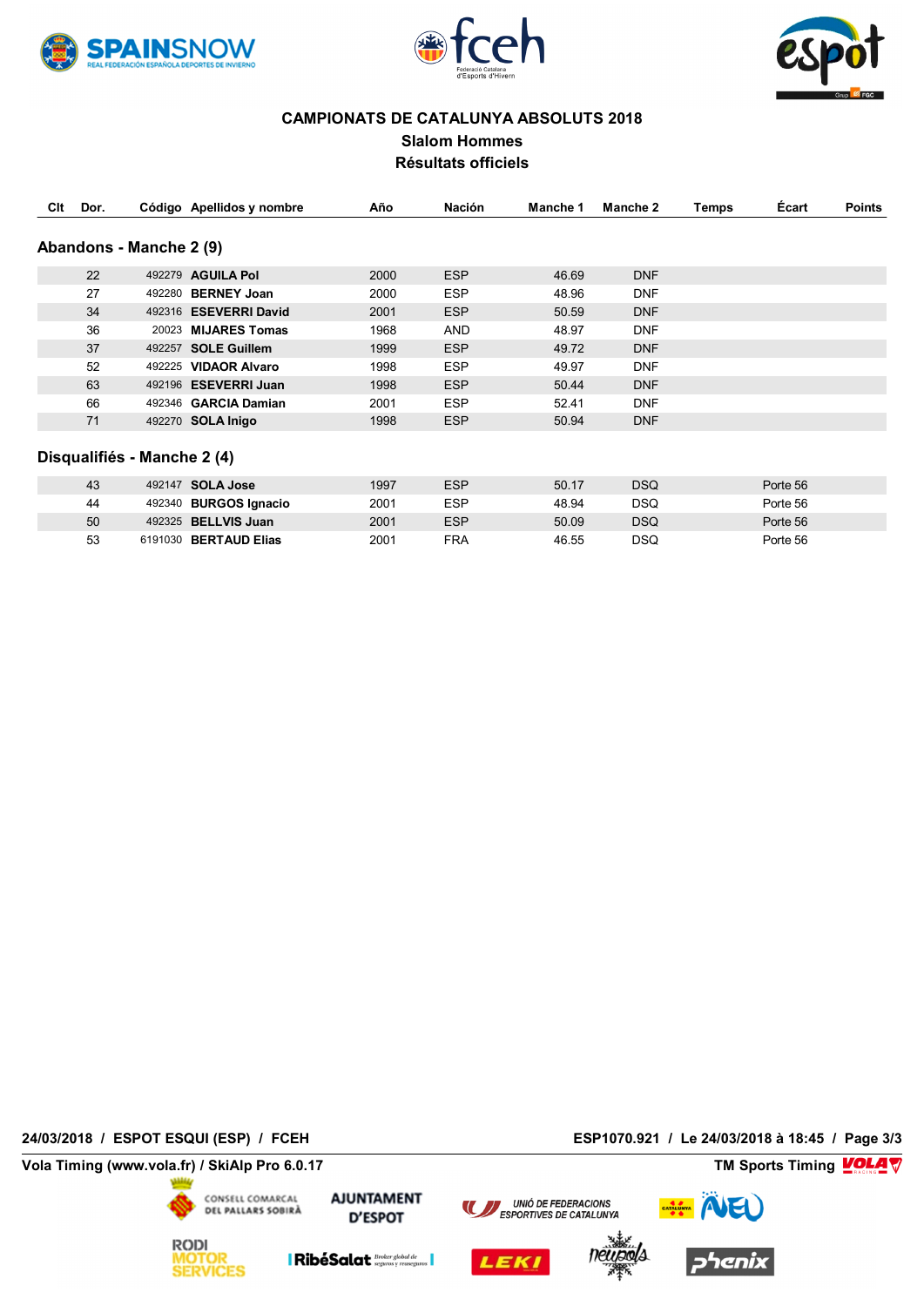





### **CAMPIONATS DE CATALUNYA ABSOLUTS 2018 Slalom Hommes Résultats officiels**

| Clt | Dor. |                             | Código Apellidos y nombre  | Año  | Nación     | Manche 1 | Manche 2   | Temps | Ecart    | <b>Points</b> |
|-----|------|-----------------------------|----------------------------|------|------------|----------|------------|-------|----------|---------------|
|     |      | Abandons - Manche 2 (9)     |                            |      |            |          |            |       |          |               |
|     | 22   |                             | 492279 AGUILA Pol          | 2000 | <b>ESP</b> | 46.69    | <b>DNF</b> |       |          |               |
|     | 27   |                             | 492280 BERNEY Joan         | 2000 | <b>ESP</b> | 48.96    | <b>DNF</b> |       |          |               |
|     | 34   |                             | 492316 ESEVERRI David      | 2001 | <b>ESP</b> | 50.59    | <b>DNF</b> |       |          |               |
|     | 36   |                             | 20023 MIJARES Tomas        | 1968 | AND        | 48.97    | <b>DNF</b> |       |          |               |
|     | 37   |                             | 492257 SOLE Guillem        | 1999 | <b>ESP</b> | 49.72    | <b>DNF</b> |       |          |               |
|     | 52   |                             | 492225 VIDAOR Alvaro       | 1998 | <b>ESP</b> | 49.97    | <b>DNF</b> |       |          |               |
|     | 63   |                             | 492196 ESEVERRI Juan       | 1998 | <b>ESP</b> | 50.44    | <b>DNF</b> |       |          |               |
|     | 66   |                             | 492346 GARCIA Damian       | 2001 | <b>ESP</b> | 52.41    | <b>DNF</b> |       |          |               |
|     | 71   |                             | 492270 SOLA Inigo          | 1998 | <b>ESP</b> | 50.94    | <b>DNF</b> |       |          |               |
|     |      | Disqualifiés - Manche 2 (4) |                            |      |            |          |            |       |          |               |
|     | 43   |                             | 492147 SOLA Jose           | 1997 | <b>ESP</b> | 50.17    | <b>DSQ</b> |       | Porte 56 |               |
|     | 44   |                             | 492340 BURGOS Ignacio      | 2001 | <b>ESP</b> | 48.94    | <b>DSQ</b> |       | Porte 56 |               |
|     | 50   |                             | 492325 <b>BELLVIS Juan</b> | 2001 | <b>ESP</b> | 50.09    | <b>DSQ</b> |       | Porte 56 |               |
|     | 53   |                             | 6191030 BERTAUD Elias      | 2001 | <b>FRA</b> | 46.55    | <b>DSQ</b> |       | Porte 56 |               |

**24/03/2018 / ESPOT ESQUI (ESP) / FCEH ESP1070.921 / Le 24/03/2018 à 18:45 / Page 3/3**

**Vola Timing (www.vola.fr) / SkiAlp Pro 6.0.17 TM Sports Timing**



MOTOR<br>SERVICES

**AJUNTAMENT D'ESPOT** 









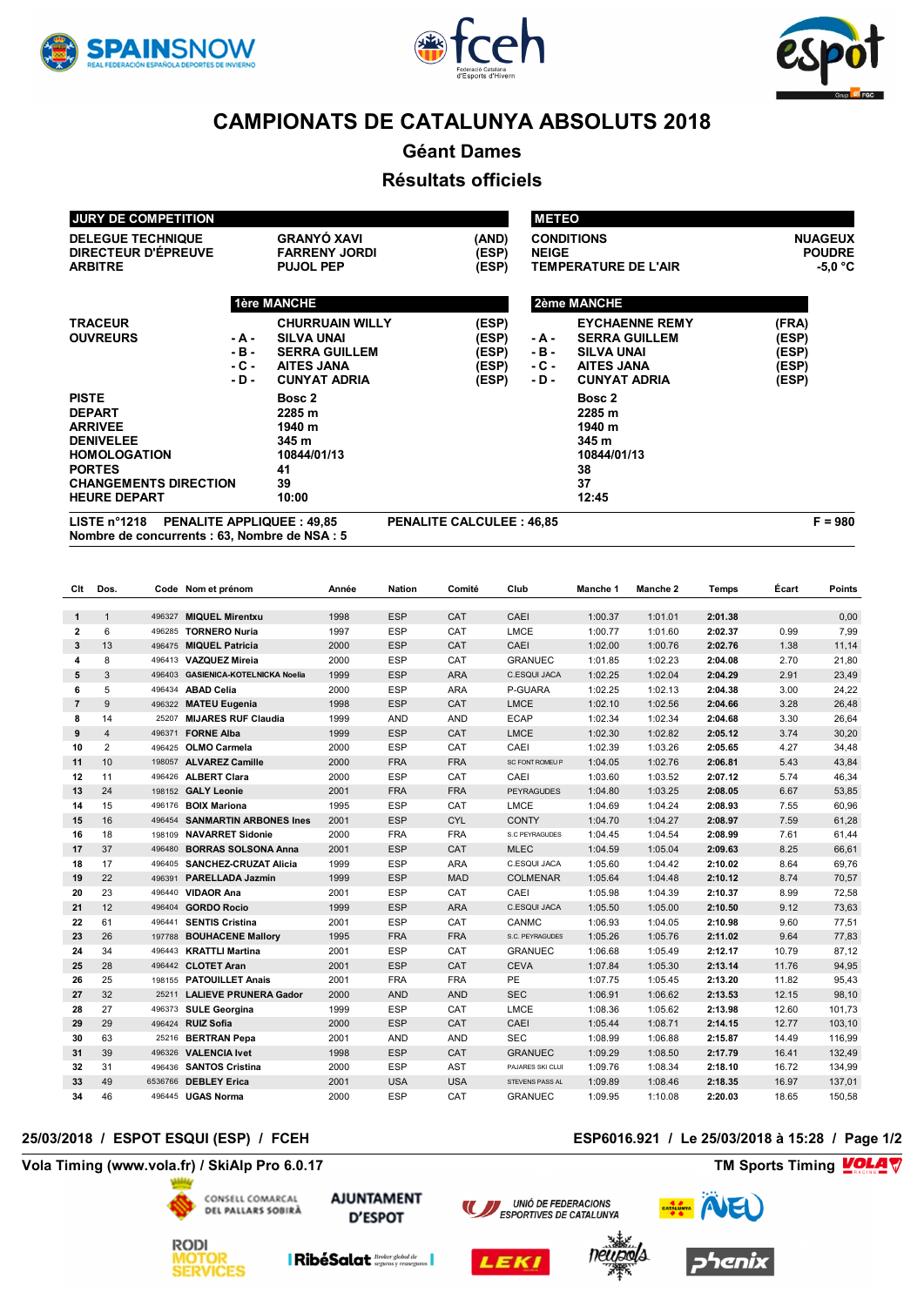





**Géant Dames**

### **Résultats officiels**

| <b>HEURE DEPART</b>          |        | 10:00                  |       |              | 12:45                       |                |
|------------------------------|--------|------------------------|-------|--------------|-----------------------------|----------------|
| <b>CHANGEMENTS DIRECTION</b> |        | 39                     |       |              | 37                          |                |
| <b>PORTES</b>                |        | 41                     |       |              | 38                          |                |
| <b>HOMOLOGATION</b>          |        | 10844/01/13            |       |              | 10844/01/13                 |                |
| <b>DENIVELEE</b>             |        | 345 m                  |       |              | 345 m                       |                |
| <b>ARRIVEE</b>               |        | 1940 m                 |       |              | 1940 m                      |                |
| <b>DEPART</b>                |        | 2285 m                 |       |              | 2285 m                      |                |
| <b>PISTE</b>                 |        | Bosc 2                 |       |              | Bosc 2                      |                |
|                              | $-D-$  | <b>CUNYAT ADRIA</b>    | (ESP) | - D -        | <b>CUNYAT ADRIA</b>         | (ESP)          |
|                              | - C -  | <b>AITES JANA</b>      | (ESP) | - C -        | <b>AITES JANA</b>           | (ESP)          |
|                              | $-B -$ | <b>SERRA GUILLEM</b>   | (ESP) | - B -        | <b>SILVA UNAI</b>           | (ESP)          |
| <b>OUVREURS</b>              | - A -  | <b>SILVA UNAI</b>      | (ESP) | - A -        | <b>SERRA GUILLEM</b>        | (ESP)          |
| <b>TRACEUR</b>               |        | <b>CHURRUAIN WILLY</b> | (ESP) |              | <b>EYCHAENNE REMY</b>       | (FRA)          |
|                              |        | 1ère MANCHE            |       |              | <b>2ème MANCHE</b>          |                |
| <b>ARBITRE</b>               |        | <b>PUJOL PEP</b>       | (ESP) |              | <b>TEMPERATURE DE L'AIR</b> | $-5.0 °C$      |
| DIRECTEUR D'ÉPREUVE          |        | <b>FARRENY JORDI</b>   | (ESP) | <b>NEIGE</b> |                             | <b>POUDRE</b>  |
| <b>DELEGUE TECHNIQUE</b>     |        | <b>GRANYÓ XAVI</b>     | (AND) |              | <b>CONDITIONS</b>           | <b>NUAGEUX</b> |
| <b>JURY DE COMPETITION</b>   |        |                        |       | <b>METEO</b> |                             |                |

**Nombre de concurrents : 63, Nombre de NSA : 5**

| Clt            | Dos.           |         | Code Nom et prénom                 | Année | <b>Nation</b> | Comité     | Club                   | Manche 1 | Manche 2 | Temps   | Écart | Points |
|----------------|----------------|---------|------------------------------------|-------|---------------|------------|------------------------|----------|----------|---------|-------|--------|
| $\mathbf{1}$   | $\mathbf{1}$   | 496327  | <b>MIQUEL Mirentxu</b>             | 1998  | <b>ESP</b>    | CAT        | CAEI                   | 1:00.37  | 1:01.01  | 2:01.38 |       | 0,00   |
| $\overline{2}$ | 6              | 496285  | <b>TORNERO Nuria</b>               | 1997  | <b>ESP</b>    | CAT        | LMCE                   | 1:00.77  | 1:01.60  | 2:02.37 | 0.99  | 7,99   |
| 3              | 13             | 496475  | <b>MIQUEL Patricia</b>             | 2000  | <b>ESP</b>    | CAT        | CAEI                   | 1:02.00  | 1:00.76  | 2:02.76 | 1.38  | 11,14  |
| 4              | 8              | 496413  | <b>VAZQUEZ Mireia</b>              | 2000  | <b>ESP</b>    | CAT        | <b>GRANUEC</b>         | 1:01.85  | 1:02.23  | 2:04.08 | 2.70  | 21,80  |
| 5              | 3              | 496403  | <b>GASIENICA-KOTELNICKA Noelia</b> | 1999  | <b>ESP</b>    | <b>ARA</b> | C.ESQUI JACA           | 1:02.25  | 1:02.04  | 2:04.29 | 2.91  | 23,49  |
| 6              | 5              | 496434  | <b>ABAD Celia</b>                  | 2000  | ESP           | <b>ARA</b> | P-GUARA                | 1:02.25  | 1:02.13  | 2:04.38 | 3.00  | 24,22  |
| $\overline{7}$ | 9              | 496322  | <b>MATEU Eugenia</b>               | 1998  | <b>ESP</b>    | CAT        | <b>LMCE</b>            | 1:02.10  | 1:02.56  | 2:04.66 | 3.28  | 26,48  |
| 8              | 14             | 25207   | <b>MIJARES RUF Claudia</b>         | 1999  | AND           | AND        | <b>ECAP</b>            | 1:02.34  | 1:02.34  | 2:04.68 | 3.30  | 26,64  |
| 9              | $\overline{4}$ | 496371  | <b>FORNE Alba</b>                  | 1999  | <b>ESP</b>    | CAT        | LMCE                   | 1:02.30  | 1:02.82  | 2:05.12 | 3.74  | 30,20  |
| 10             | $\overline{2}$ | 496425  | <b>OLMO Carmela</b>                | 2000  | <b>ESP</b>    | CAT        | CAEI                   | 1:02.39  | 1:03.26  | 2:05.65 | 4.27  | 34,48  |
| 11             | 10             | 198057  | <b>ALVAREZ Camille</b>             | 2000  | <b>FRA</b>    | <b>FRA</b> | <b>SC FONT ROMEU P</b> | 1:04.05  | 1:02.76  | 2:06.81 | 5.43  | 43,84  |
| 12             | 11             | 496426  | <b>ALBERT Clara</b>                | 2000  | <b>ESP</b>    | CAT        | CAEI                   | 1:03.60  | 1:03.52  | 2:07.12 | 5.74  | 46,34  |
| 13             | 24             | 198152  | <b>GALY Leonie</b>                 | 2001  | <b>FRA</b>    | <b>FRA</b> | <b>PEYRAGUDES</b>      | 1:04.80  | 1:03.25  | 2:08.05 | 6.67  | 53,85  |
| 14             | 15             | 496176  | <b>BOIX Mariona</b>                | 1995  | <b>ESP</b>    | CAT        | LMCE                   | 1:04.69  | 1:04.24  | 2:08.93 | 7.55  | 60,96  |
| 15             | 16             | 496454  | <b>SANMARTIN ARBONES Ines</b>      | 2001  | <b>ESP</b>    | <b>CYL</b> | <b>CONTY</b>           | 1:04.70  | 1:04.27  | 2:08.97 | 7.59  | 61,28  |
| 16             | 18             | 198109  | <b>NAVARRET Sidonie</b>            | 2000  | <b>FRA</b>    | <b>FRA</b> | S.C PEYRAGUDES         | 1:04.45  | 1:04.54  | 2:08.99 | 7.61  | 61,44  |
| 17             | 37             | 496480  | <b>BORRAS SOLSONA Anna</b>         | 2001  | <b>ESP</b>    | CAT        | <b>MLEC</b>            | 1:04.59  | 1:05.04  | 2:09.63 | 8.25  | 66,61  |
| 18             | 17             | 496405  | <b>SANCHEZ-CRUZAT Alicia</b>       | 1999  | <b>ESP</b>    | <b>ARA</b> | C.ESQUI JACA           | 1:05.60  | 1:04.42  | 2:10.02 | 8.64  | 69,76  |
| 19             | 22             | 496391  | <b>PARELLADA Jazmin</b>            | 1999  | <b>ESP</b>    | <b>MAD</b> | <b>COLMENAR</b>        | 1:05.64  | 1:04.48  | 2:10.12 | 8.74  | 70,57  |
| 20             | 23             | 496440  | <b>VIDAOR Ana</b>                  | 2001  | <b>ESP</b>    | CAT        | CAEI                   | 1:05.98  | 1:04.39  | 2:10.37 | 8.99  | 72,58  |
| 21             | 12             | 496404  | <b>GORDO Rocio</b>                 | 1999  | <b>ESP</b>    | <b>ARA</b> | C.ESQUI JACA           | 1:05.50  | 1:05.00  | 2:10.50 | 9.12  | 73,63  |
| 22             | 61             | 496441  | <b>SENTIS Cristina</b>             | 2001  | ESP           | CAT        | CANMC                  | 1:06.93  | 1:04.05  | 2:10.98 | 9.60  | 77,51  |
| 23             | 26             | 197788  | <b>BOUHACENE Mallory</b>           | 1995  | <b>FRA</b>    | <b>FRA</b> | S.C. PEYRAGUDES        | 1:05.26  | 1:05.76  | 2:11.02 | 9.64  | 77,83  |
| 24             | 34             | 496443  | <b>KRATTLI Martina</b>             | 2001  | <b>ESP</b>    | CAT        | <b>GRANUEC</b>         | 1:06.68  | 1:05.49  | 2:12.17 | 10.79 | 87,12  |
| 25             | 28             | 496442  | <b>CLOTET Aran</b>                 | 2001  | <b>ESP</b>    | CAT        | <b>CEVA</b>            | 1:07.84  | 1:05.30  | 2:13.14 | 11.76 | 94,95  |
| 26             | 25             | 198155  | <b>PATOUILLET Anais</b>            | 2001  | <b>FRA</b>    | <b>FRA</b> | PE                     | 1:07.75  | 1:05.45  | 2:13.20 | 11.82 | 95,43  |
| 27             | 32             | 25211   | <b>LALIEVE PRUNERA Gador</b>       | 2000  | <b>AND</b>    | <b>AND</b> | <b>SEC</b>             | 1:06.91  | 1:06.62  | 2:13.53 | 12.15 | 98,10  |
| 28             | 27             | 496373  | <b>SULE Georgina</b>               | 1999  | <b>ESP</b>    | CAT        | LMCE                   | 1:08.36  | 1:05.62  | 2:13.98 | 12.60 | 101,73 |
| 29             | 29             | 496424  | <b>RUIZ Sofia</b>                  | 2000  | <b>ESP</b>    | CAT        | CAEI                   | 1:05.44  | 1:08.71  | 2:14.15 | 12.77 | 103,10 |
| 30             | 63             |         | 25216 BERTRAN Pepa                 | 2001  | <b>AND</b>    | <b>AND</b> | <b>SEC</b>             | 1:08.99  | 1:06.88  | 2:15.87 | 14.49 | 116,99 |
| 31             | 39             |         | 496326 VALENCIA Ivet               | 1998  | <b>ESP</b>    | CAT        | <b>GRANUEC</b>         | 1:09.29  | 1:08.50  | 2:17.79 | 16.41 | 132,49 |
| 32             | 31             | 496436  | <b>SANTOS Cristina</b>             | 2000  | <b>ESP</b>    | <b>AST</b> | PAJARES SKI CLUI       | 1:09.76  | 1:08.34  | 2:18.10 | 16.72 | 134,99 |
| 33             | 49             | 6536766 | <b>DEBLEY Erica</b>                | 2001  | <b>USA</b>    | <b>USA</b> | STEVENS PASS AL        | 1:09.89  | 1:08.46  | 2:18.35 | 16.97 | 137,01 |
| 34             | 46             |         | 496445 UGAS Norma                  | 2000  | <b>ESP</b>    | CAT        | <b>GRANUEC</b>         | 1:09.95  | 1:10.08  | 2:20.03 | 18.65 | 150,58 |

### **25/03/2018 / ESPOT ESQUI (ESP) / FCEH ESP6016.921 / Le 25/03/2018 à 15:28 / Page 1/2**

**Vola Timing (www.vola.fr) / SkiAlp Pro 6.0.17 TM Sports Timing**



**AJUNTAMENT D'ESPOT** 





UNIÓ DE FEDERACIONS



**VolaSoftControlPdf**

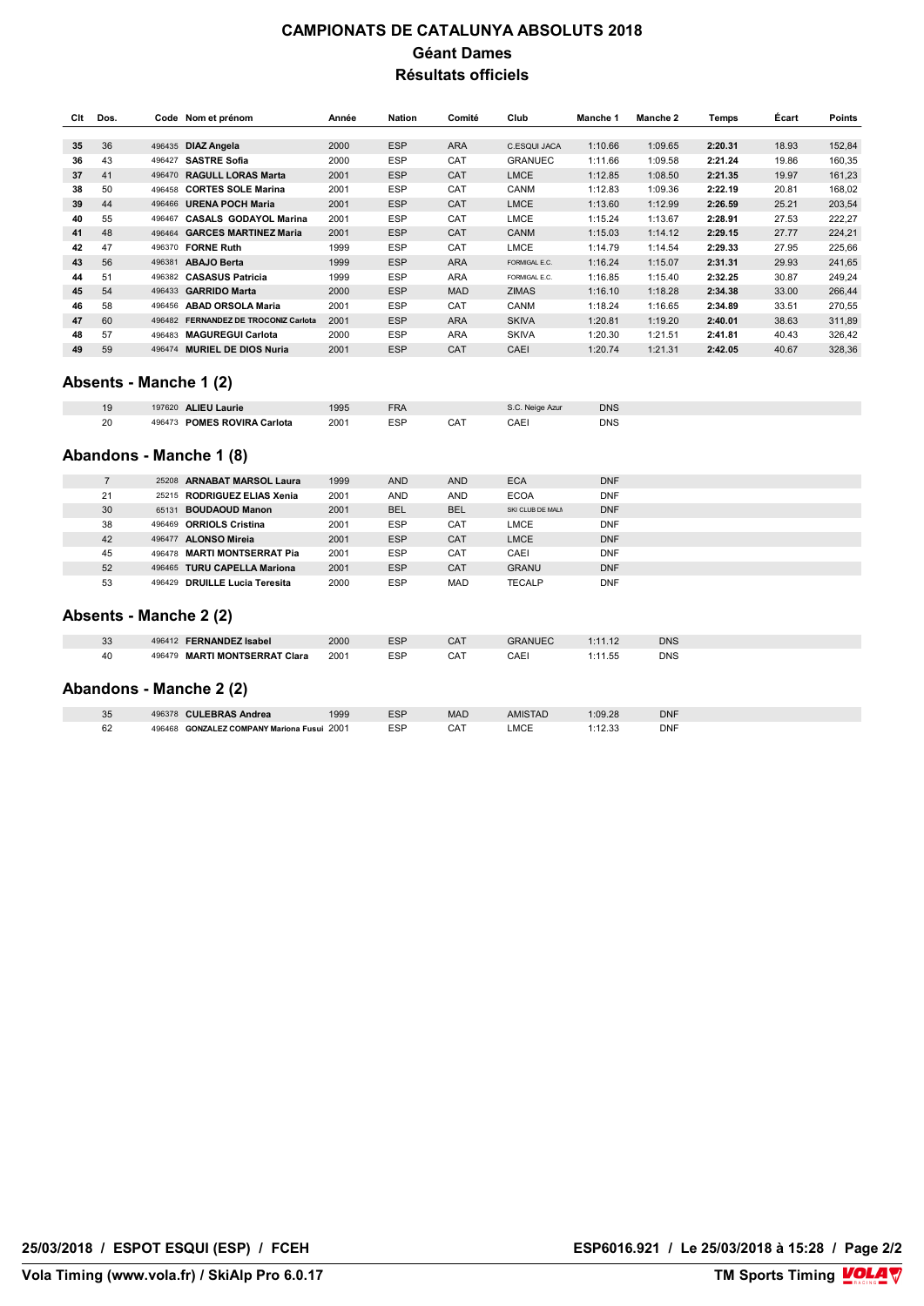## **CAMPIONATS DE CATALUNYA ABSOLUTS 2018 Géant Dames Résultats officiels**

| Clt | Dos. | Code   | Nom et prénom                        | Année | <b>Nation</b> | Comité     | Club           | Manche 1 | Manche 2 | Temps   | Ecart | Points |
|-----|------|--------|--------------------------------------|-------|---------------|------------|----------------|----------|----------|---------|-------|--------|
|     |      |        |                                      |       |               |            |                |          |          |         |       |        |
| 35  | 36   | 496435 | <b>DIAZ Angela</b>                   | 2000  | <b>ESP</b>    | <b>ARA</b> | C.ESQUI JACA   | 1:10.66  | 1:09.65  | 2:20.31 | 18.93 | 152,84 |
| 36  | 43   | 496427 | <b>SASTRE Sofia</b>                  | 2000  | <b>ESP</b>    | CAT        | <b>GRANUEC</b> | 1:11.66  | 1:09.58  | 2:21.24 | 19.86 | 160,35 |
| 37  | 41   | 496470 | <b>RAGULL LORAS Marta</b>            | 2001  | <b>ESP</b>    | CAT        | <b>LMCE</b>    | 1:12.85  | 1:08.50  | 2:21.35 | 19.97 | 161,23 |
| 38  | 50   | 496458 | <b>CORTES SOLE Marina</b>            | 2001  | <b>ESP</b>    | CAT        | CANM           | 1:12.83  | 1:09.36  | 2:22.19 | 20.81 | 168,02 |
| 39  | 44   | 496466 | <b>URENA POCH Maria</b>              | 2001  | <b>ESP</b>    | CAT        | <b>LMCE</b>    | 1:13.60  | 1:12.99  | 2:26.59 | 25.21 | 203,54 |
| 40  | 55   | 496467 | <b>CASALS GODAYOL Marina</b>         | 2001  | <b>ESP</b>    | CAT        | LMCE           | 1:15.24  | 1:13.67  | 2:28.91 | 27.53 | 222,27 |
| 41  | 48   | 496464 | <b>GARCES MARTINEZ Maria</b>         | 2001  | <b>ESP</b>    | CAT        | <b>CANM</b>    | 1:15.03  | 1:14.12  | 2:29.15 | 27.77 | 224,21 |
| 42  | 47   | 496370 | <b>FORNE Ruth</b>                    | 1999  | <b>ESP</b>    | CAT        | LMCE           | 1:14.79  | 1:14.54  | 2:29.33 | 27.95 | 225,66 |
| 43  | 56   | 496381 | <b>ABAJO Berta</b>                   | 1999  | <b>ESP</b>    | <b>ARA</b> | FORMIGAL E.C.  | 1:16.24  | 1:15.07  | 2:31.31 | 29.93 | 241,65 |
| 44  | 51   | 496382 | <b>CASASUS Patricia</b>              | 1999  | <b>ESP</b>    | <b>ARA</b> | FORMIGAL E.C.  | 1:16.85  | 1:15.40  | 2:32.25 | 30.87 | 249,24 |
| 45  | 54   | 496433 | <b>GARRIDO Marta</b>                 | 2000  | <b>ESP</b>    | <b>MAD</b> | <b>ZIMAS</b>   | 1:16.10  | 1:18.28  | 2:34.38 | 33.00 | 266,44 |
| 46  | 58   | 496456 | <b>ABAD ORSOLA Maria</b>             | 2001  | <b>ESP</b>    | CAT        | CANM           | 1:18.24  | 1:16.65  | 2:34.89 | 33.51 | 270,55 |
| 47  | 60   | 496482 | <b>FERNANDEZ DE TROCONIZ Carlota</b> | 2001  | <b>ESP</b>    | <b>ARA</b> | <b>SKIVA</b>   | 1:20.81  | 1:19.20  | 2:40.01 | 38.63 | 311,89 |
| 48  | 57   | 496483 | <b>MAGUREGUI Carlota</b>             | 2000  | <b>ESP</b>    | ARA        | <b>SKIVA</b>   | 1:20.30  | 1:21.51  | 2:41.81 | 40.43 | 326,42 |
| 49  | 59   | 496474 | <b>MURIEL DE DIOS Nuria</b>          | 2001  | <b>ESP</b>    | CAT        | CAEI           | 1:20.74  | 1:21.31  | 2:42.05 | 40.67 | 328,36 |

### **- D - CUNYAT ADRIA (ESP) Absents - Manche 1 (2)**

| 19 | 197620 ALIEU Laurie         | 995  | FRA        |     | S.C. Neige Azur | <b>DNS</b> |
|----|-----------------------------|------|------------|-----|-----------------|------------|
| 20 | 496473 POMES ROVIRA Carlota | 2001 | <b>ESP</b> | CAT | CAEI            | DNS        |

### **HOMOLOGATION 10844/01/13 10844/01/13 Abandons - Manche 1 (8)**

|    | 25208 ARNABAT MARSOL Laura              | 1999 | <b>AND</b> | <b>AND</b> | <b>ECA</b>       | <b>DNF</b> |
|----|-----------------------------------------|------|------------|------------|------------------|------------|
| 21 | 25215 RODRIGUEZ ELIAS Xenia             | 2001 | <b>AND</b> | AND        | <b>ECOA</b>      | <b>DNF</b> |
| 30 | 65131 BOUDAOUD Manon                    | 2001 | <b>BEL</b> | <b>BEL</b> | SKI CLUB DE MALM | <b>DNF</b> |
| 38 | 496469 ORRIOLS Cristina                 | 2001 | <b>ESP</b> | CAT        | LMCE             | <b>DNF</b> |
| 42 | <b>ALONSO Mireia</b><br>496477          | 2001 | <b>ESP</b> | CAT        | <b>LMCE</b>      | <b>DNF</b> |
| 45 | 496478 MARTI MONTSERRAT Pia             | 2001 | <b>ESP</b> | CAT        | CAEI             | <b>DNF</b> |
| 52 | 496465 TURU CAPELLA Mariona             | 2001 | <b>ESP</b> | CAT        | <b>GRANU</b>     | <b>DNF</b> |
| 53 | <b>DRUILLE Lucia Teresita</b><br>496429 | 2000 | <b>ESP</b> | MAD        | <b>TECALP</b>    | <b>DNF</b> |

### **Absents - Manche 2 (2)**

| 33<br>496412 FERNANDEZ Isabel       | 2000 | <b>ESP</b> | CAT | <b>GRANUEC</b> | 1:11.12 | <b>DNS</b> |  |
|-------------------------------------|------|------------|-----|----------------|---------|------------|--|
| 496479 MARTI MONTSERRAT Clara<br>40 | 2001 | <b>ESP</b> | CAT | CAEI           | !:11.55 | <b>DNS</b> |  |

### **Abandons - Manche 2 (2)**

| 25<br>ື  | <b>CULEBRAS Andrea</b><br>496378                     | 1999 | ESP | <b>MAC</b>                                              | <b>AMISTAD</b> | :09.28 | <b>DNF</b> |
|----------|------------------------------------------------------|------|-----|---------------------------------------------------------|----------------|--------|------------|
| cc<br>٥z | <b>GONZALEZ COMPANY Mariona Fusui 2001</b><br>496468 |      | ESF | CAT<br>$\sim$ $\sim$ $\sim$ $\sim$ $\sim$ $\sim$ $\sim$ | MOT<br>-IVIU – | 12.33  | <b>DNF</b> |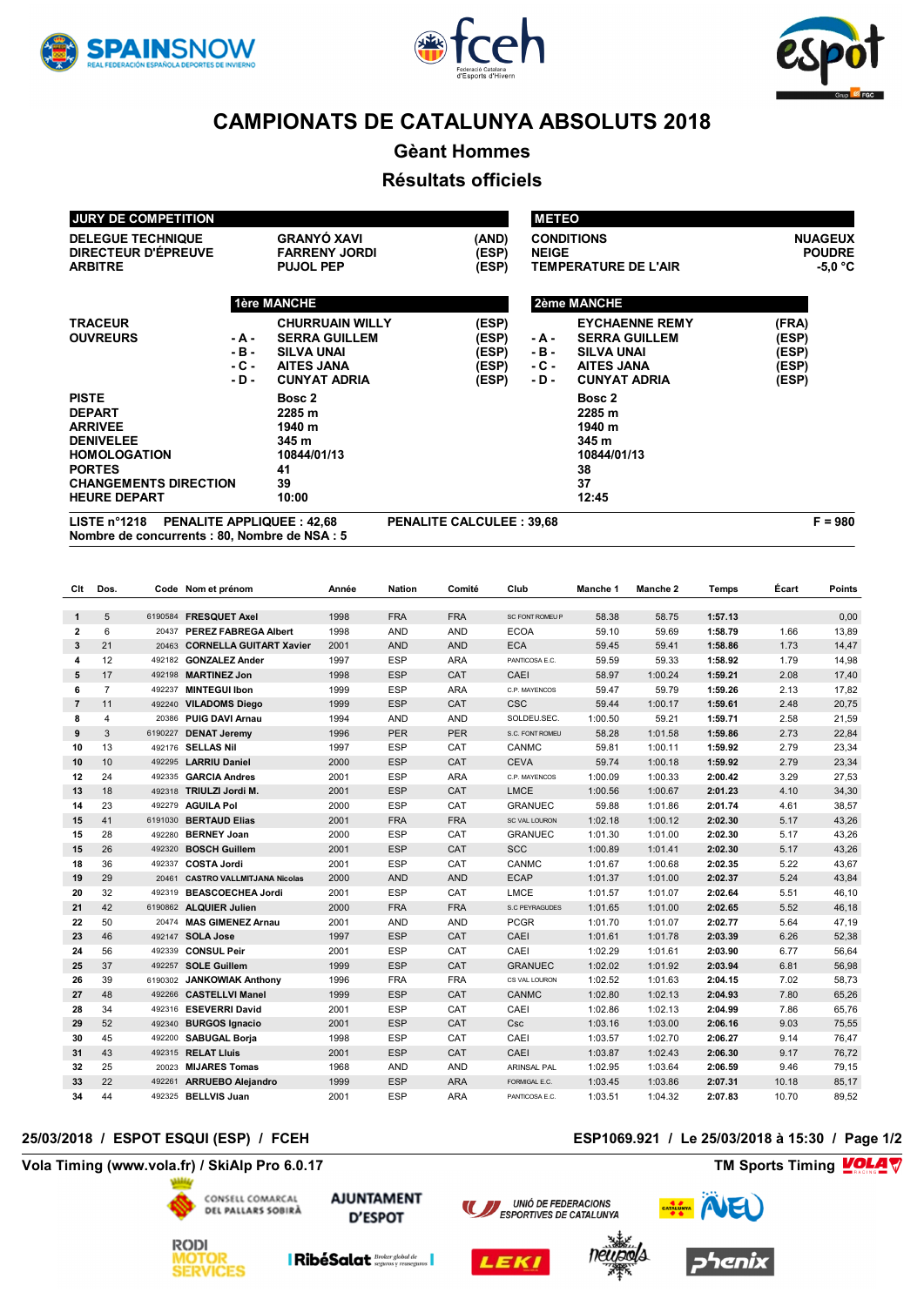





**Gèant Hommes**

### **Résultats officiels**

| LISTE $n^{\circ}$ 1218       |        | <b>PENALITE APPLIQUEE: 42,68</b> | <b>PENALITE CALCULEE: 39,68</b> |              |                             | $F = 980$      |
|------------------------------|--------|----------------------------------|---------------------------------|--------------|-----------------------------|----------------|
| <b>HEURE DEPART</b>          |        | 10:00                            |                                 |              | 12:45                       |                |
| <b>CHANGEMENTS DIRECTION</b> |        | 39                               |                                 |              | 37                          |                |
| <b>PORTES</b>                |        | 41                               |                                 |              | 38                          |                |
| <b>HOMOLOGATION</b>          |        | 10844/01/13                      |                                 |              | 10844/01/13                 |                |
| <b>DENIVELEE</b>             |        | 345 m                            |                                 |              | 345 m                       |                |
| <b>ARRIVEE</b>               |        | 1940 m                           |                                 |              | 1940 m                      |                |
| <b>DEPART</b>                |        | 2285 m                           |                                 |              | 2285 m                      |                |
| <b>PISTE</b>                 |        | Bosc 2                           |                                 |              | Bosc 2                      |                |
|                              | $-D -$ | <b>CUNYAT ADRIA</b>              | (ESP)                           | - D -        | <b>CUNYAT ADRIA</b>         | (ESP)          |
|                              | - C -  | <b>AITES JANA</b>                | (ESP)                           | - C -        | <b>AITES JANA</b>           | (ESP)          |
|                              | - B -  | <b>SILVA UNAI</b>                | (ESP)                           | - B -        | <b>SILVA UNAI</b>           | (ESP)          |
| <b>OUVREURS</b>              | -А-    | <b>SERRA GUILLEM</b>             | (ESP)                           | - A -        | <b>SERRA GUILLEM</b>        | (ESP)          |
| <b>TRACEUR</b>               |        | <b>CHURRUAIN WILLY</b>           | (ESP)                           |              | <b>EYCHAENNE REMY</b>       | (FRA)          |
|                              |        | 1ère MANCHE                      |                                 |              | 2ème MANCHE                 |                |
| <b>ARBITRE</b>               |        | <b>PUJOL PEP</b>                 | (ESP)                           |              | <b>TEMPERATURE DE L'AIR</b> | $-5.0 °C$      |
| DIRECTEUR D'ÉPREUVE          |        | <b>FARRENY JORDI</b>             | (ESP)                           | <b>NEIGE</b> |                             | <b>POUDRE</b>  |
| <b>DELEGUE TECHNIQUE</b>     |        | <b>GRANYÓ XAVI</b>               | (AND)                           |              | <b>CONDITIONS</b>           | <b>NUAGEUX</b> |
|                              |        |                                  |                                 |              |                             |                |
| <b>JURY DE COMPETITION</b>   |        |                                  |                                 | <b>METEO</b> |                             |                |

**Nombre de concurrents : 80, Nombre de NSA : 5**

| Cit            | Dos.           |         | Code Nom et prénom                | Année | Nation     | Comité     | Club                 | Manche 1 | Manche 2 | <b>Temps</b> | Écart | Points |
|----------------|----------------|---------|-----------------------------------|-------|------------|------------|----------------------|----------|----------|--------------|-------|--------|
| $\mathbf{1}$   | 5              |         | 6190584 FRESQUET Axel             | 1998  | <b>FRA</b> | <b>FRA</b> | SC FONT ROMEU P      | 58.38    | 58.75    | 1:57.13      |       | 0,00   |
| $\overline{2}$ | 6              | 20437   | <b>PEREZ FABREGA Albert</b>       | 1998  | <b>AND</b> | <b>AND</b> | <b>ECOA</b>          | 59.10    | 59.69    | 1:58.79      | 1.66  | 13,89  |
| 3              | 21             | 20463   | <b>CORNELLA GUITART Xavier</b>    | 2001  | <b>AND</b> | <b>AND</b> | <b>ECA</b>           | 59.45    | 59.41    | 1:58.86      | 1.73  | 14,47  |
| 4              | 12             |         | 492182 GONZALEZ Ander             | 1997  | <b>ESP</b> | <b>ARA</b> | PANTICOSA E.C.       | 59.59    | 59.33    | 1:58.92      | 1.79  | 14,98  |
| 5              | 17             | 492198  | <b>MARTINEZ Jon</b>               | 1998  | <b>ESP</b> | CAT        | CAEI                 | 58.97    | 1:00.24  | 1:59.21      | 2.08  | 17,40  |
| 6              | $\overline{7}$ | 492237  | <b>MINTEGUI Ibon</b>              | 1999  | <b>ESP</b> | <b>ARA</b> | C.P. MAYENCOS        | 59.47    | 59.79    | 1:59.26      | 2.13  | 17,82  |
| $\overline{7}$ | 11             | 492240  | <b>VILADOMS Diego</b>             | 1999  | ESP        | CAT        | <b>CSC</b>           | 59.44    | 1:00.17  | 1:59.61      | 2.48  | 20,75  |
| 8              | $\overline{4}$ | 20386   | <b>PUIG DAVI Arnau</b>            | 1994  | <b>AND</b> | <b>AND</b> | SOLDEU.SEC.          | 1:00.50  | 59.21    | 1:59.71      | 2.58  | 21,59  |
| 9              | 3              | 6190227 | <b>DENAT Jeremy</b>               | 1996  | <b>PER</b> | <b>PER</b> | S.C. FONT ROMEU      | 58.28    | 1:01.58  | 1:59.86      | 2.73  | 22,84  |
| 10             | 13             | 492176  | <b>SELLAS Nil</b>                 | 1997  | <b>ESP</b> | CAT        | CANMC                | 59.81    | 1:00.11  | 1:59.92      | 2.79  | 23,34  |
| 10             | 10             | 492295  | <b>LARRIU Daniel</b>              | 2000  | <b>ESP</b> | CAT        | <b>CEVA</b>          | 59.74    | 1:00.18  | 1:59.92      | 2.79  | 23,34  |
| 12             | 24             | 492335  | <b>GARCIA Andres</b>              | 2001  | <b>ESP</b> | <b>ARA</b> | C.P. MAYENCOS        | 1:00.09  | 1:00.33  | 2:00.42      | 3.29  | 27,53  |
| 13             | 18             | 492318  | TRIULZI Jordi M.                  | 2001  | <b>ESP</b> | CAT        | <b>LMCE</b>          | 1:00.56  | 1:00.67  | 2:01.23      | 4.10  | 34,30  |
| 14             | 23             | 492279  | <b>AGUILA Pol</b>                 | 2000  | <b>ESP</b> | CAT        | <b>GRANUEC</b>       | 59.88    | 1:01.86  | 2:01.74      | 4.61  | 38,57  |
| 15             | 41             | 6191030 | <b>BERTAUD Elias</b>              | 2001  | <b>FRA</b> | <b>FRA</b> | <b>SC VAL LOURON</b> | 1:02.18  | 1:00.12  | 2:02.30      | 5.17  | 43,26  |
| 15             | 28             | 492280  | <b>BERNEY Joan</b>                | 2000  | <b>ESP</b> | CAT        | <b>GRANUEC</b>       | 1:01.30  | 1:01.00  | 2:02.30      | 5.17  | 43,26  |
| 15             | 26             | 492320  | <b>BOSCH Guillem</b>              | 2001  | <b>ESP</b> | CAT        | <b>SCC</b>           | 1:00.89  | 1:01.41  | 2:02.30      | 5.17  | 43,26  |
| 18             | 36             | 492337  | <b>COSTA Jordi</b>                | 2001  | <b>ESP</b> | CAT        | CANMC                | 1:01.67  | 1:00.68  | 2:02.35      | 5.22  | 43,67  |
| 19             | 29             | 20461   | <b>CASTRO VALLMITJANA Nicolas</b> | 2000  | <b>AND</b> | <b>AND</b> | <b>ECAP</b>          | 1:01.37  | 1:01.00  | 2:02.37      | 5.24  | 43,84  |
| 20             | 32             | 492319  | <b>BEASCOECHEA Jordi</b>          | 2001  | <b>ESP</b> | CAT        | <b>LMCE</b>          | 1:01.57  | 1:01.07  | 2:02.64      | 5.51  | 46,10  |
| 21             | 42             | 6190862 | <b>ALQUIER Julien</b>             | 2000  | <b>FRA</b> | <b>FRA</b> | S.C PEYRAGUDES       | 1:01.65  | 1:01.00  | 2:02.65      | 5.52  | 46,18  |
| 22             | 50             | 20474   | <b>MAS GIMENEZ Arnau</b>          | 2001  | <b>AND</b> | <b>AND</b> | <b>PCGR</b>          | 1:01.70  | 1:01.07  | 2:02.77      | 5.64  | 47,19  |
| 23             | 46             | 492147  | <b>SOLA Jose</b>                  | 1997  | <b>ESP</b> | CAT        | CAEI                 | 1:01.61  | 1:01.78  | 2:03.39      | 6.26  | 52,38  |
| 24             | 56             | 492339  | <b>CONSUL Peir</b>                | 2001  | <b>ESP</b> | CAT        | CAEI                 | 1:02.29  | 1:01.61  | 2:03.90      | 6.77  | 56,64  |
| 25             | 37             | 492257  | <b>SOLE Guillem</b>               | 1999  | <b>ESP</b> | CAT        | <b>GRANUEC</b>       | 1:02.02  | 1:01.92  | 2:03.94      | 6.81  | 56,98  |
| 26             | 39             | 6190302 | <b>JANKOWIAK Anthony</b>          | 1996  | <b>FRA</b> | <b>FRA</b> | CS VAL LOURON        | 1:02.52  | 1:01.63  | 2:04.15      | 7.02  | 58,73  |
| 27             | 48             |         | 492266 CASTELLVI Manel            | 1999  | <b>ESP</b> | CAT        | <b>CANMC</b>         | 1:02.80  | 1:02.13  | 2:04.93      | 7.80  | 65,26  |
| 28             | 34             | 492316  | <b>ESEVERRI David</b>             | 2001  | <b>ESP</b> | CAT        | CAEI                 | 1:02.86  | 1:02.13  | 2:04.99      | 7.86  | 65,76  |
| 29             | 52             | 492340  | <b>BURGOS Ignacio</b>             | 2001  | <b>ESP</b> | CAT        | Csc                  | 1:03.16  | 1:03.00  | 2:06.16      | 9.03  | 75,55  |
| 30             | 45             |         | 492200 SABUGAL Borja              | 1998  | <b>ESP</b> | CAT        | CAEI                 | 1:03.57  | 1:02.70  | 2:06.27      | 9.14  | 76,47  |
| 31             | 43             |         | 492315 RELAT Lluis                | 2001  | <b>ESP</b> | CAT        | CAEI                 | 1:03.87  | 1:02.43  | 2:06.30      | 9.17  | 76,72  |
| 32             | 25             | 20023   | <b>MIJARES Tomas</b>              | 1968  | <b>AND</b> | <b>AND</b> | ARINSAL PAL          | 1:02.95  | 1:03.64  | 2:06.59      | 9.46  | 79,15  |
| 33             | 22             | 492261  | <b>ARRUEBO Alejandro</b>          | 1999  | <b>ESP</b> | <b>ARA</b> | FORMIGAL E.C.        | 1:03.45  | 1:03.86  | 2:07.31      | 10.18 | 85,17  |
| 34             | 44             |         | 492325 BELLVIS Juan               | 2001  | <b>ESP</b> | <b>ARA</b> | PANTICOSA E.C.       | 1:03.51  | 1:04.32  | 2:07.83      | 10.70 | 89,52  |

### **25/03/2018 / ESPOT ESQUI (ESP) / FCEH ESP1069.921 / Le 25/03/2018 à 15:30 / Page 1/2**

**Vola Timing (www.vola.fr) / SkiAlp Pro 6.0.17 TM Sports Timing**



*AOTOR<br>SERVICES* 

**AJUNTAMENT D'ESPOT** 







 $\blacksquare$ RibéSalat  $\frac{\textit{Broke global de}}{\textit{seguros } v \textit{ reaseguros}}$